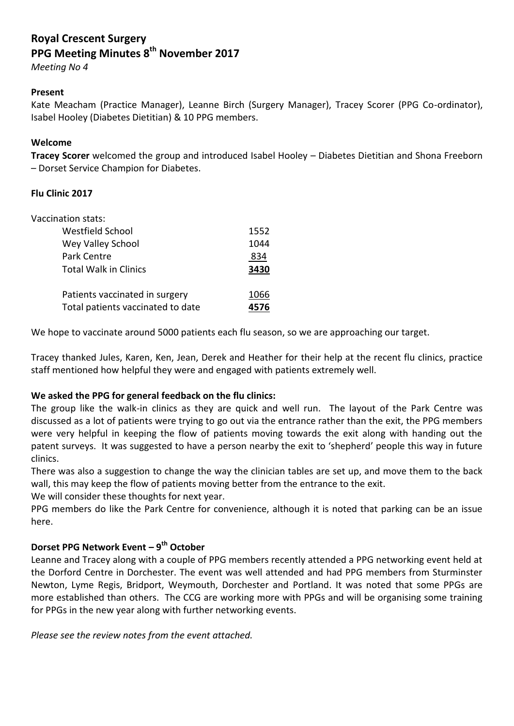# **Royal Crescent Surgery PPG Meeting Minutes 8th November 2017**

*Meeting No 4*

## **Present**

Kate Meacham (Practice Manager), Leanne Birch (Surgery Manager), Tracey Scorer (PPG Co-ordinator), Isabel Hooley (Diabetes Dietitian) & 10 PPG members.

## **Welcome**

**Tracey Scorer** welcomed the group and introduced Isabel Hooley – Diabetes Dietitian and Shona Freeborn – Dorset Service Champion for Diabetes.

## **Flu Clinic 2017**

| Vaccination stats:                |      |
|-----------------------------------|------|
| Westfield School                  | 1552 |
| Wey Valley School                 | 1044 |
| Park Centre                       | 834  |
| <b>Total Walk in Clinics</b>      | 3430 |
| Patients vaccinated in surgery    | 1066 |
| Total patients vaccinated to date | 4576 |

We hope to vaccinate around 5000 patients each flu season, so we are approaching our target.

Tracey thanked Jules, Karen, Ken, Jean, Derek and Heather for their help at the recent flu clinics, practice staff mentioned how helpful they were and engaged with patients extremely well.

# **We asked the PPG for general feedback on the flu clinics:**

The group like the walk-in clinics as they are quick and well run. The layout of the Park Centre was discussed as a lot of patients were trying to go out via the entrance rather than the exit, the PPG members were very helpful in keeping the flow of patients moving towards the exit along with handing out the patent surveys. It was suggested to have a person nearby the exit to 'shepherd' people this way in future clinics.

There was also a suggestion to change the way the clinician tables are set up, and move them to the back wall, this may keep the flow of patients moving better from the entrance to the exit.

We will consider these thoughts for next year.

PPG members do like the Park Centre for convenience, although it is noted that parking can be an issue here.

# **Dorset PPG Network Event – 9 th October**

Leanne and Tracey along with a couple of PPG members recently attended a PPG networking event held at the Dorford Centre in Dorchester. The event was well attended and had PPG members from Sturminster Newton, Lyme Regis, Bridport, Weymouth, Dorchester and Portland. It was noted that some PPGs are more established than others. The CCG are working more with PPGs and will be organising some training for PPGs in the new year along with further networking events.

*Please see the review notes from the event attached.*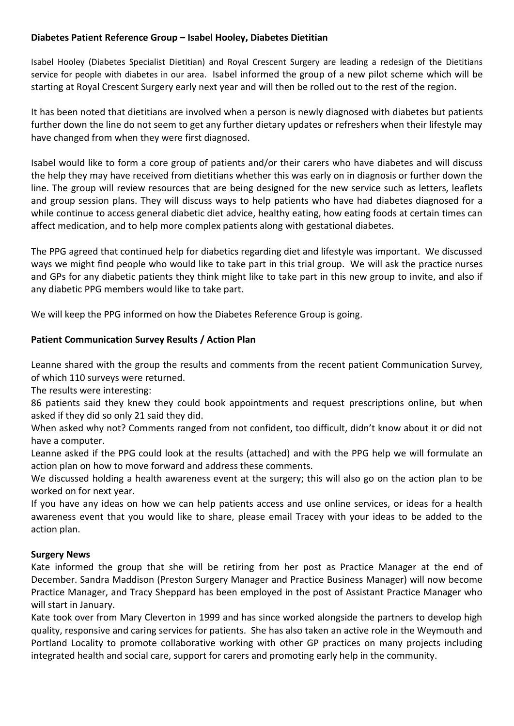# **Diabetes Patient Reference Group – Isabel Hooley, Diabetes Dietitian**

Isabel Hooley (Diabetes Specialist Dietitian) and Royal Crescent Surgery are leading a redesign of the Dietitians service for people with diabetes in our area. Isabel informed the group of a new pilot scheme which will be starting at Royal Crescent Surgery early next year and will then be rolled out to the rest of the region.

It has been noted that dietitians are involved when a person is newly diagnosed with diabetes but patients further down the line do not seem to get any further dietary updates or refreshers when their lifestyle may have changed from when they were first diagnosed.

Isabel would like to form a core group of patients and/or their carers who have diabetes and will discuss the help they may have received from dietitians whether this was early on in diagnosis or further down the line. The group will review resources that are being designed for the new service such as letters, leaflets and group session plans. They will discuss ways to help patients who have had diabetes diagnosed for a while continue to access general diabetic diet advice, healthy eating, how eating foods at certain times can affect medication, and to help more complex patients along with gestational diabetes.

The PPG agreed that continued help for diabetics regarding diet and lifestyle was important. We discussed ways we might find people who would like to take part in this trial group. We will ask the practice nurses and GPs for any diabetic patients they think might like to take part in this new group to invite, and also if any diabetic PPG members would like to take part.

We will keep the PPG informed on how the Diabetes Reference Group is going.

## **Patient Communication Survey Results / Action Plan**

Leanne shared with the group the results and comments from the recent patient Communication Survey, of which 110 surveys were returned.

The results were interesting:

86 patients said they knew they could book appointments and request prescriptions online, but when asked if they did so only 21 said they did.

When asked why not? Comments ranged from not confident, too difficult, didn't know about it or did not have a computer.

Leanne asked if the PPG could look at the results (attached) and with the PPG help we will formulate an action plan on how to move forward and address these comments.

We discussed holding a health awareness event at the surgery; this will also go on the action plan to be worked on for next year.

If you have any ideas on how we can help patients access and use online services, or ideas for a health awareness event that you would like to share, please email Tracey with your ideas to be added to the action plan.

#### **Surgery News**

Kate informed the group that she will be retiring from her post as Practice Manager at the end of December. Sandra Maddison (Preston Surgery Manager and Practice Business Manager) will now become Practice Manager, and Tracy Sheppard has been employed in the post of Assistant Practice Manager who will start in January.

Kate took over from Mary Cleverton in 1999 and has since worked alongside the partners to develop high quality, responsive and caring services for patients. She has also taken an active role in the Weymouth and Portland Locality to promote collaborative working with other GP practices on many projects including integrated health and social care, support for carers and promoting early help in the community.